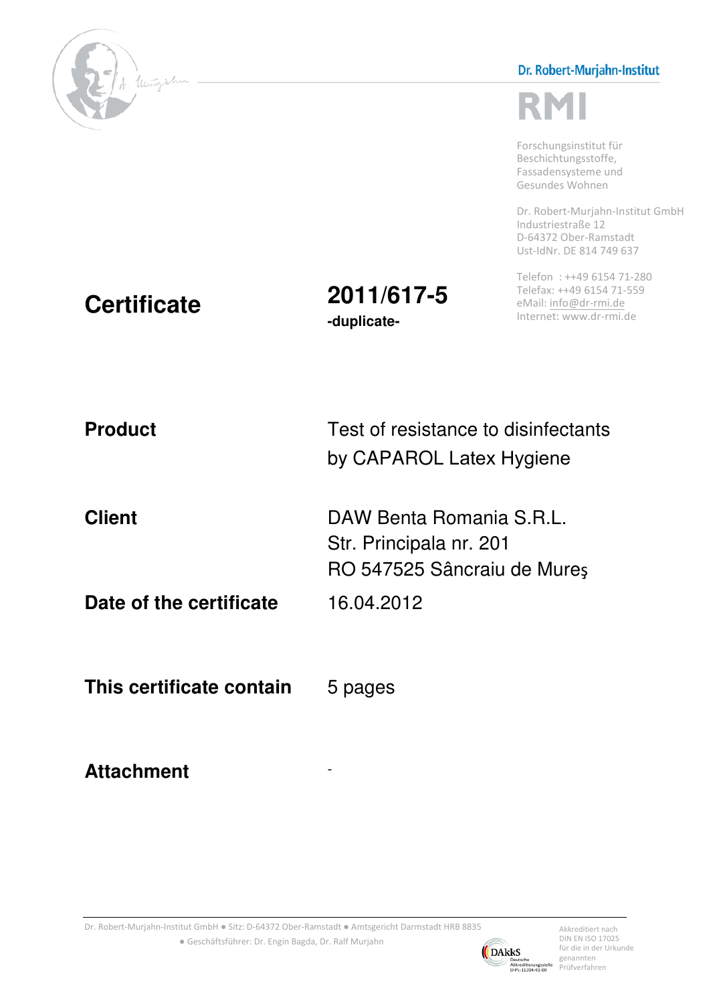

## Dr. Robert-Murjahn-Institut

RM

Forschungsinstitut für Beschichtungsstoffe, Fassadensysteme und Gesundes Wohnen

Dr. Robert-Murjahn-Institut GmbH Industriestraße 12 D-64372 Ober-Ramstadt Ust-IdNr. DE 814 749 637

Telefon : ++49 6154 71-280 Telefax: ++49 6154 71-559 eMail: info@dr-rmi.de Internet: www.dr-rmi.de

**Certificate 2011/617-5 -duplicate-**

| <b>Product</b>          | Test of resistance to disinfectants<br>by CAPAROL Latex Hygiene                    |
|-------------------------|------------------------------------------------------------------------------------|
| <b>Client</b>           | DAW Benta Romania S.R.L.<br>Str. Principala nr. 201<br>RO 547525 Sâncraiu de Mures |
| Date of the certificate | 16.04.2012                                                                         |

**This certificate contain** 5 pages

**Attachment** -

Dr. Robert-Murjahn-Institut GmbH ● Sitz: D-64372 Ober-Ramstadt ● Amtsgericht Darmstadt HRB 8835 ● Geschäftsführer: Dr. Engin Bagda, Dr. Ralf Murjahn



Akkreditiert nach DIN EN ISO 17025 für die in der Urkunde genannten Prüfverfahren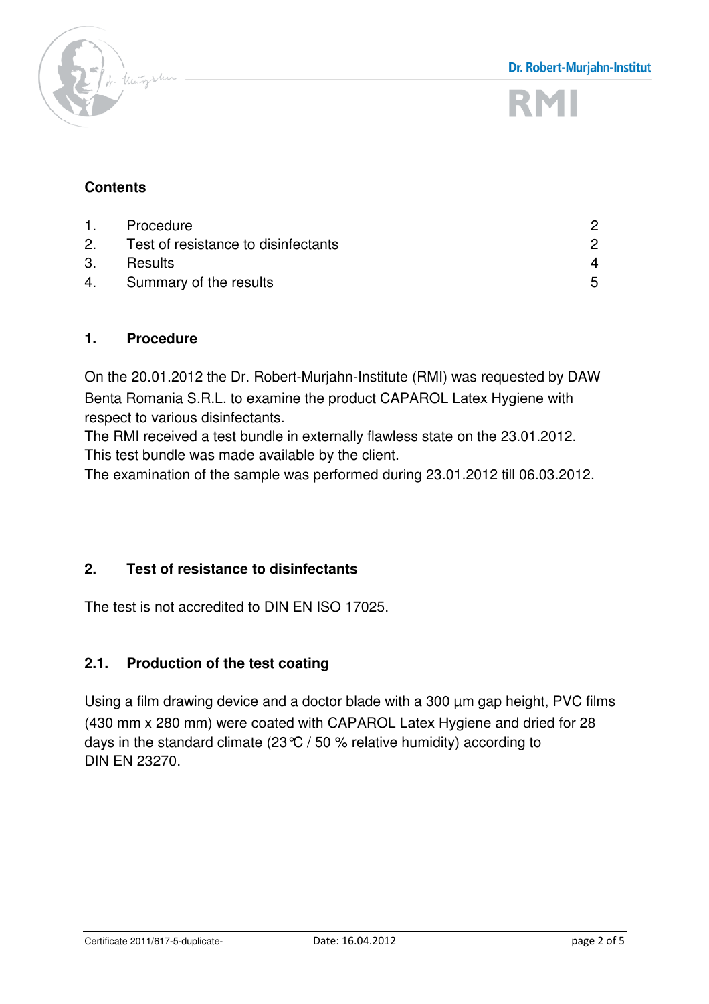



# **Contents**

|    | 1. Procedure                           |    |
|----|----------------------------------------|----|
|    | 2. Test of resistance to disinfectants |    |
| 3. | Results                                |    |
|    | 4. Summary of the results              | 5. |

#### **1. Procedure**

On the 20.01.2012 the Dr. Robert-Murjahn-Institute (RMI) was requested by DAW Benta Romania S.R.L. to examine the product CAPAROL Latex Hygiene with respect to various disinfectants.

The RMI received a test bundle in externally flawless state on the 23.01.2012. This test bundle was made available by the client.

The examination of the sample was performed during 23.01.2012 till 06.03.2012.

# **2. Test of resistance to disinfectants**

The test is not accredited to DIN EN ISO 17025.

## **2.1. Production of the test coating**

Using a film drawing device and a doctor blade with a 300  $\mu$ m gap height, PVC films (430 mm x 280 mm) were coated with CAPAROL Latex Hygiene and dried for 28 days in the standard climate (23  $\degree$  / 50 % relative humidity) according to DIN EN 23270.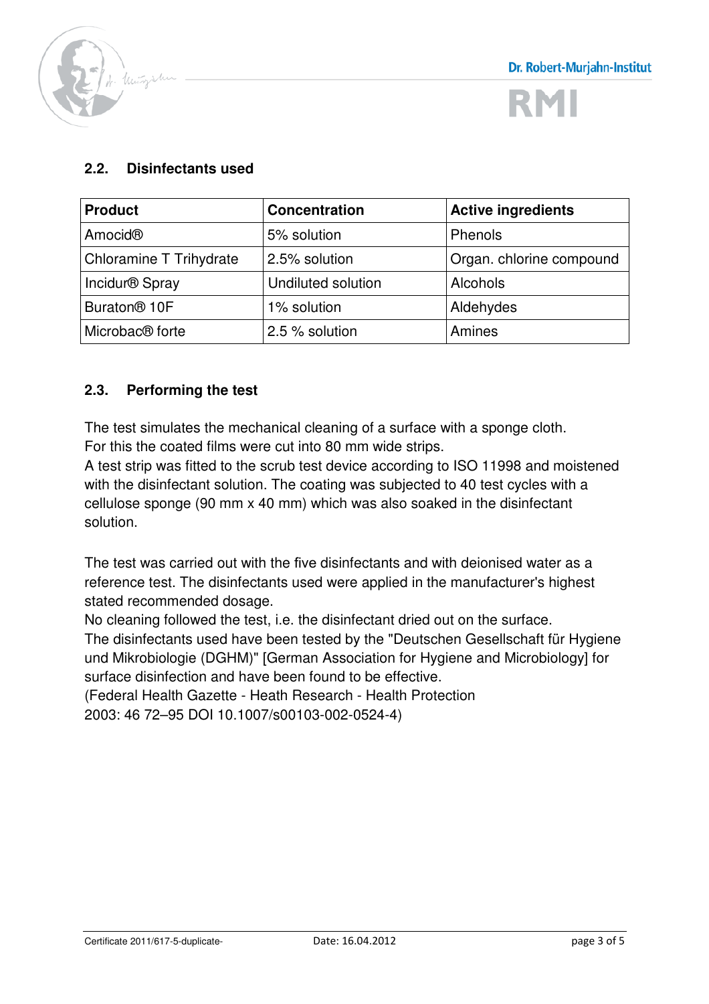



## **2.2. Disinfectants used**

| <b>Product</b>              | <b>Concentration</b> | <b>Active ingredients</b> |
|-----------------------------|----------------------|---------------------------|
| Amocid <sup>®</sup>         | 5% solution          | Phenols                   |
| Chloramine T Trihydrate     | 2.5% solution        | Organ. chlorine compound  |
| Incidur <sup>®</sup> Spray  | Undiluted solution   | Alcohols                  |
| Buraton <sup>®</sup> 10F    | 1% solution          | Aldehydes                 |
| Microbac <sup>®</sup> forte | 2.5 % solution       | Amines                    |

#### **2.3. Performing the test**

The test simulates the mechanical cleaning of a surface with a sponge cloth. For this the coated films were cut into 80 mm wide strips.

A test strip was fitted to the scrub test device according to ISO 11998 and moistened with the disinfectant solution. The coating was subjected to 40 test cycles with a cellulose sponge (90 mm x 40 mm) which was also soaked in the disinfectant solution.

The test was carried out with the five disinfectants and with deionised water as a reference test. The disinfectants used were applied in the manufacturer's highest stated recommended dosage.

No cleaning followed the test, i.e. the disinfectant dried out on the surface. The disinfectants used have been tested by the "Deutschen Gesellschaft für Hygiene und Mikrobiologie (DGHM)" [German Association for Hygiene and Microbiology] for surface disinfection and have been found to be effective.

(Federal Health Gazette - Heath Research - Health Protection 2003: 46 72–95 DOI 10.1007/s00103-002-0524-4)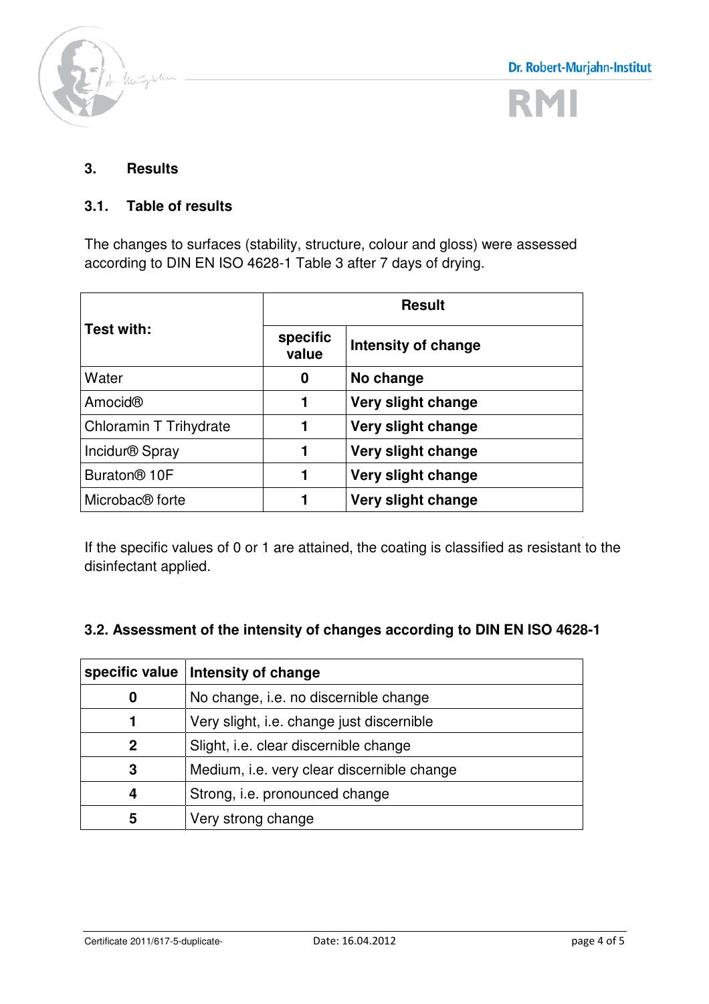



#### **3. Results**

#### **3.1. Table of results**

The changes to surfaces (stability, structure, colour and gloss) were assessed according to DIN EN ISO 4628-1 Table 3 after 7 days of drying.

| Test with:                    | <b>Result</b>     |                     |  |
|-------------------------------|-------------------|---------------------|--|
|                               | specific<br>value | Intensity of change |  |
| Water                         | 0                 | No change           |  |
| Amocid <sup>®</sup>           | 1                 | Very slight change  |  |
| <b>Chloramin T Trihydrate</b> | 1                 | Very slight change  |  |
| Incidur <sup>®</sup> Spray    | 1                 | Very slight change  |  |
| Buraton <sup>®</sup> 10F      | 1                 | Very slight change  |  |
| Microbac <sup>®</sup> forte   |                   | Very slight change  |  |

If the specific values of 0 or 1 are attained, the coating is classified as resistant to the disinfectant applied.

#### **3.2. Assessment of the intensity of changes according to DIN EN ISO 4628-1**

| specific value | Intensity of change                        |
|----------------|--------------------------------------------|
| 0              | No change, i.e. no discernible change      |
|                | Very slight, i.e. change just discernible  |
| $\mathbf 2$    | Slight, i.e. clear discernible change      |
| 3              | Medium, i.e. very clear discernible change |
| 4              | Strong, i.e. pronounced change             |
| 5              | Very strong change                         |